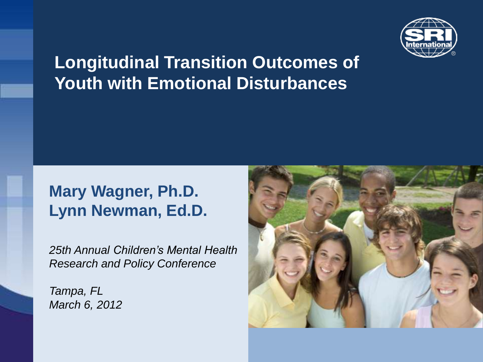

#### **Longitudinal Transition Outcomes of Youth with Emotional Disturbances**

#### **Mary Wagner, Ph.D. Lynn Newman, Ed.D.**

*25th Annual Children's Mental Health Research and Policy Conference* 

*Tampa, FL March 6, 2012*

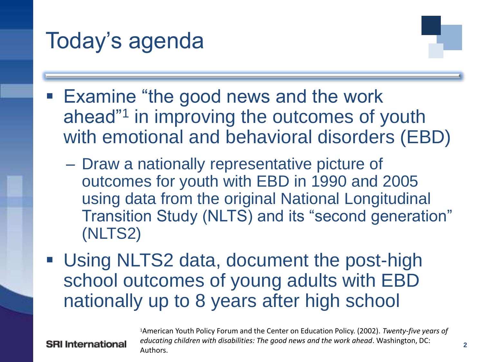

- Examine "the good news and the work ahead"<sup>1</sup> in improving the outcomes of youth with emotional and behavioral disorders (EBD)
	- Draw a nationally representative picture of outcomes for youth with EBD in 1990 and 2005 using data from the original National Longitudinal Transition Study (NLTS) and its "second generation" (NLTS2)
- Using NLTS2 data, document the post-high school outcomes of young adults with EBD nationally up to 8 years after high school

**SRI International** 

<sup>1</sup>American Youth Policy Forum and the Center on Education Policy. (2002). *Twenty-five years of educating children with disabilities: The good news and the work ahead*. Washington, DC: Authors.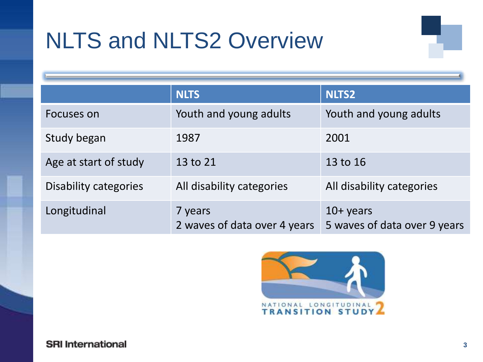# NLTS and NLTS2 Overview

|                       | <b>NLTS</b>                             | <b>NLTS2</b>                                |
|-----------------------|-----------------------------------------|---------------------------------------------|
| Focuses on            | Youth and young adults                  | Youth and young adults                      |
| Study began           | 1987                                    | 2001                                        |
| Age at start of study | 13 to 21                                | 13 to 16                                    |
| Disability categories | All disability categories               | All disability categories                   |
| Longitudinal          | 7 years<br>2 waves of data over 4 years | $10+$ years<br>5 waves of data over 9 years |

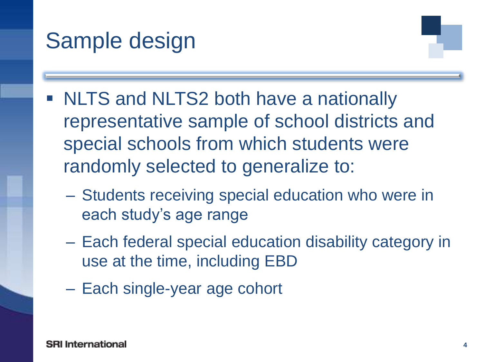### Sample design

- **NLTS and NLTS2 both have a nationally** representative sample of school districts and special schools from which students were randomly selected to generalize to:
	- Students receiving special education who were in each study's age range
	- Each federal special education disability category in use at the time, including EBD
	- Each single-year age cohort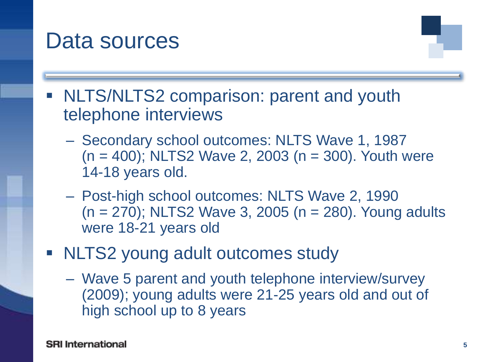#### Data sources

- **NLTS/NLTS2 comparison: parent and youth** telephone interviews
	- Secondary school outcomes: NLTS Wave 1, 1987  $(n = 400)$ ; NLTS2 Wave 2, 2003  $(n = 300)$ . Youth were 14-18 years old.
	- Post-high school outcomes: NLTS Wave 2, 1990  $(n = 270)$ ; NLTS2 Wave 3, 2005  $(n = 280)$ . Young adults were 18-21 years old
- NLTS2 young adult outcomes study
	- Wave 5 parent and youth telephone interview/survey (2009); young adults were 21-25 years old and out of high school up to 8 years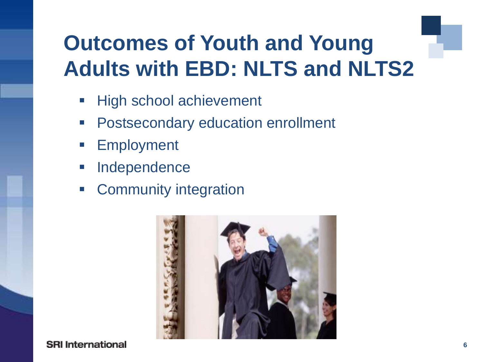### **Outcomes of Youth and Young Adults with EBD: NLTS and NLTS2**

- **High school achievement**
- **Postsecondary education enrollment**
- **Employment**
- **Independence**
- **EXECOMMUNITY Integration**



**SRI International**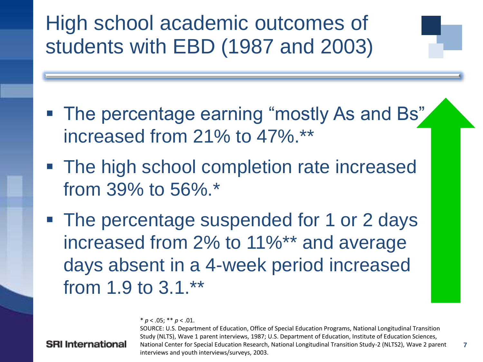High school academic outcomes of students with EBD (1987 and 2003)

- The percentage earning "mostly As and Bs" increased from 21% to 47%.\*\*
- The high school completion rate increased from 39% to 56%.\*
- The percentage suspended for 1 or 2 days increased from 2% to 11%\*\* and average days absent in a 4-week period increased from 1.9 to 3.1.\*\*

 $* p < .05; ** p < .01.$ 

#### **SRI** International

SOURCE: U.S. Department of Education, Office of Special Education Programs, National Longitudinal Transition Study (NLTS), Wave 1 parent interviews, 1987; U.S. Department of Education, Institute of Education Sciences, National Center for Special Education Research, National Longitudinal Transition Study-2 (NLTS2), Wave 2 parent interviews and youth interviews/surveys, 2003.

**7**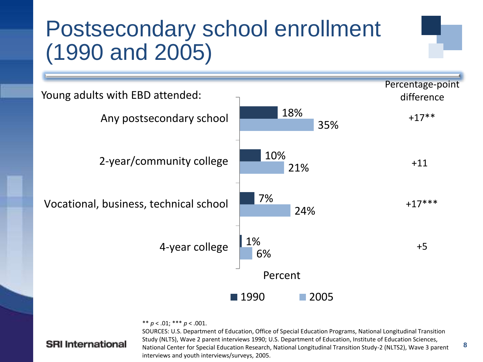### Postsecondary school enrollment (1990 and 2005)



\*\* *p* < .01; \*\*\* *p* < .001.

#### **SRI International**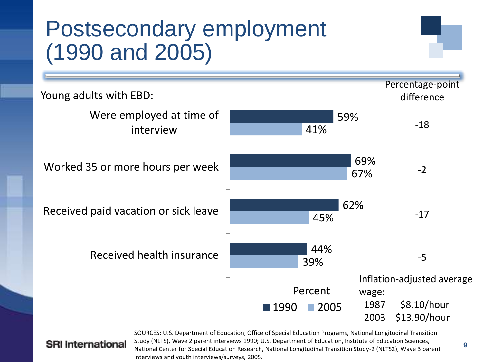### Postsecondary employment (1990 and 2005)



#### **SRI** International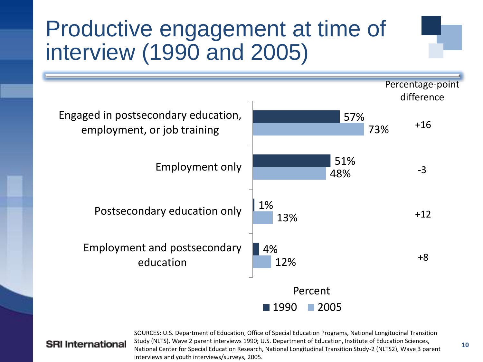### Productive engagement at time of interview (1990 and 2005)



#### **SRI** International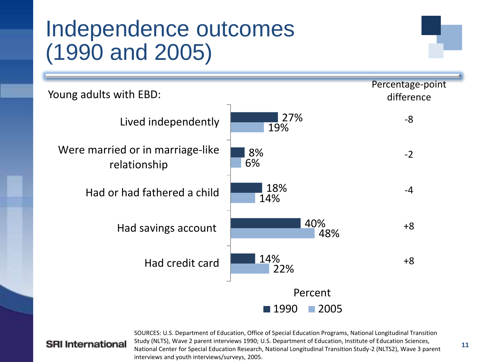### Independence outcomes (1990 and 2005)



#### **SRI International**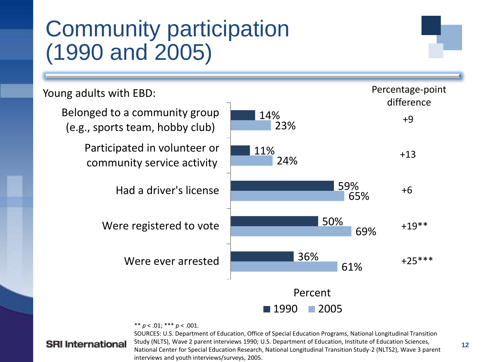### Community participation (1990 and 2005)

Young adults with EBD:



\*\* *p* < .01; \*\*\* *p* < .001.

#### **SRI** International

SOURCES: U.S. Department of Education, Office of Special Education Programs, National Longitudinal Transition Study (NLTS), Wave 2 parent interviews 1990; U.S. Department of Education, Institute of Education Sciences, National Center for Special Education Research, National Longitudinal Transition Study-2 (NLTS2), Wave 3 parent interviews and youth interviews/surveys, 2005.

Percentage-point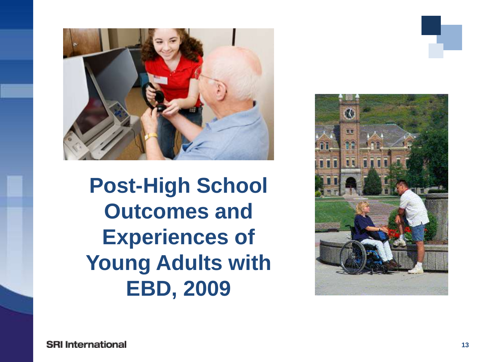

**Post-High School Outcomes and Experiences of Young Adults with EBD, 2009**

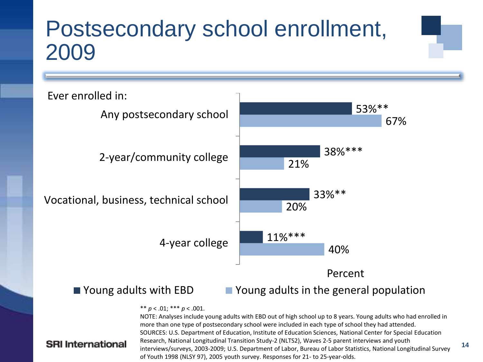### Postsecondary school enrollment, 2009



**SRI** International

#### ■ Young adults with EBD ■ Young adults in the general population

**14**

#### \*\* *p* < .01; \*\*\* *p* < .001.

NOTE: Analyses include young adults with EBD out of high school up to 8 years. Young adults who had enrolled in more than one type of postsecondary school were included in each type of school they had attended. SOURCES: U.S. Department of Education, Institute of Education Sciences, National Center for Special Education Research, National Longitudinal Transition Study-2 (NLTS2), Waves 2-5 parent interviews and youth interviews/surveys, 2003-2009; U.S. Department of Labor, Bureau of Labor Statistics, National Longitudinal Survey of Youth 1998 (NLSY 97), 2005 youth survey. Responses for 21- to 25-year-olds.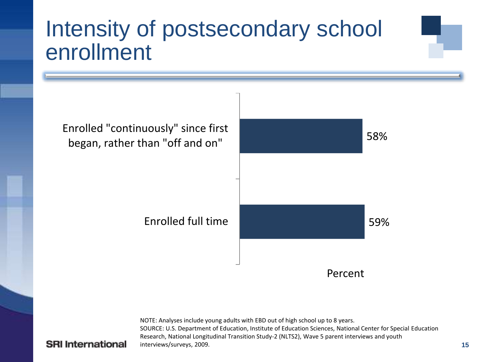### Intensity of postsecondary school enrollment



NOTE: Analyses include young adults with EBD out of high school up to 8 years. SOURCE: U.S. Department of Education, Institute of Education Sciences, National Center for Special Education Research, National Longitudinal Transition Study-2 (NLTS2), Wave 5 parent interviews and youth interviews/surveys, 2009.

#### **SRI** International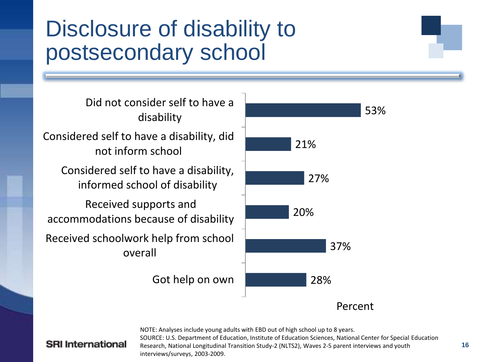### Disclosure of disability to postsecondary school

Got help on own Received schoolwork help from school overall Received supports and accommodations because of disability Considered self to have a disability, informed school of disability Considered self to have a disability, did not inform school Did not consider self to have a disability



#### **SRI** International

NOTE: Analyses include young adults with EBD out of high school up to 8 years. SOURCE: U.S. Department of Education, Institute of Education Sciences, National Center for Special Education Research, National Longitudinal Transition Study-2 (NLTS2), Waves 2-5 parent interviews and youth interviews/surveys, 2003-2009.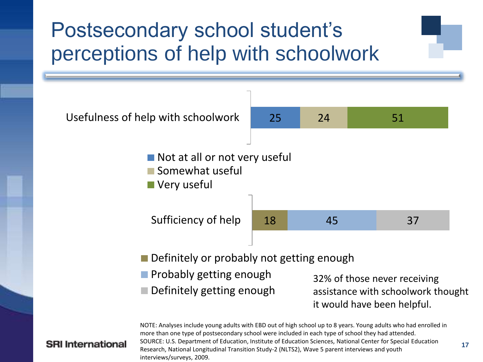### Postsecondary school student's perceptions of help with schoolwork

![](_page_16_Figure_1.jpeg)

#### **SRI** International

NOTE: Analyses include young adults with EBD out of high school up to 8 years. Young adults who had enrolled in more than one type of postsecondary school were included in each type of school they had attended. SOURCE: U.S. Department of Education, Institute of Education Sciences, National Center for Special Education Research, National Longitudinal Transition Study-2 (NLTS2), Wave 5 parent interviews and youth interviews/surveys, 2009.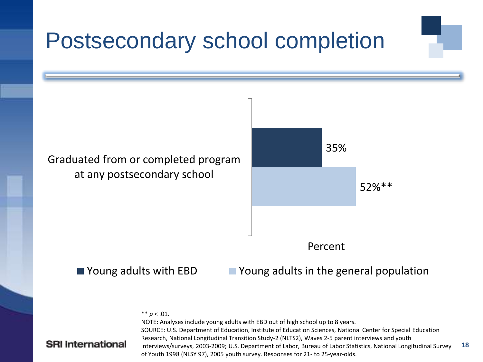### Postsecondary school completion

![](_page_17_Figure_1.jpeg)

![](_page_17_Picture_2.jpeg)

#### ■ Young adults with EBD Young adults in the general population

\*\*  $p < .01$ .

#### **SRI** International

**18** NOTE: Analyses include young adults with EBD out of high school up to 8 years. SOURCE: U.S. Department of Education, Institute of Education Sciences, National Center for Special Education Research, National Longitudinal Transition Study-2 (NLTS2), Waves 2-5 parent interviews and youth interviews/surveys, 2003-2009; U.S. Department of Labor, Bureau of Labor Statistics, National Longitudinal Survey of Youth 1998 (NLSY 97), 2005 youth survey. Responses for 21- to 25-year-olds.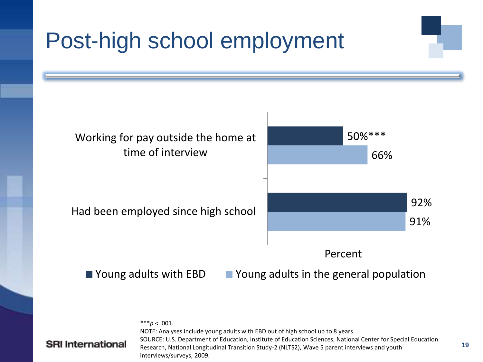# Post-high school employment

![](_page_18_Figure_1.jpeg)

\*\*\**p* < .001. NOTE: Analyses include young adults with EBD out of high school up to 8 years. SOURCE: U.S. Department of Education, Institute of Education Sciences, National Center for Special Education Research, National Longitudinal Transition Study-2 (NLTS2), Wave 5 parent interviews and youth interviews/surveys, 2009.

#### **SRI** International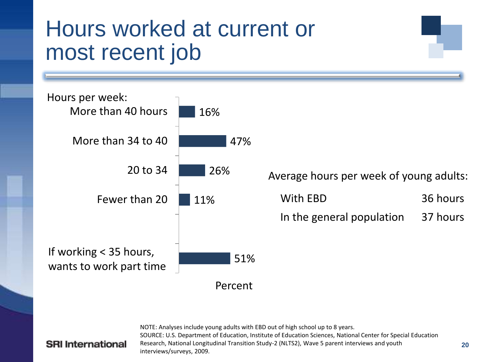### Hours worked at current or most recent job

![](_page_19_Figure_1.jpeg)

NOTE: Analyses include young adults with EBD out of high school up to 8 years. SOURCE: U.S. Department of Education, Institute of Education Sciences, National Center for Special Education Research, National Longitudinal Transition Study-2 (NLTS2), Wave 5 parent interviews and youth interviews/surveys, 2009.

#### **SRI** International

**20**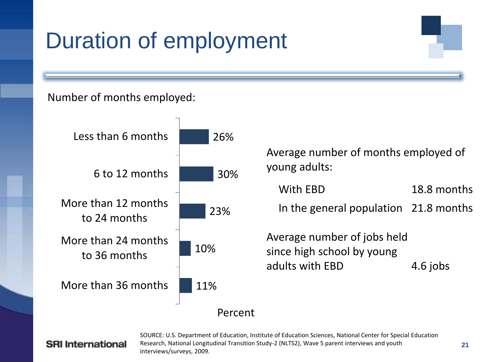## Duration of employment

#### Number of months employed:

![](_page_20_Figure_2.jpeg)

#### **SRI** International

SOURCE: U.S. Department of Education, Institute of Education Sciences, National Center for Special Education Research, National Longitudinal Transition Study-2 (NLTS2), Wave 5 parent interviews and youth interviews/surveys, 2009.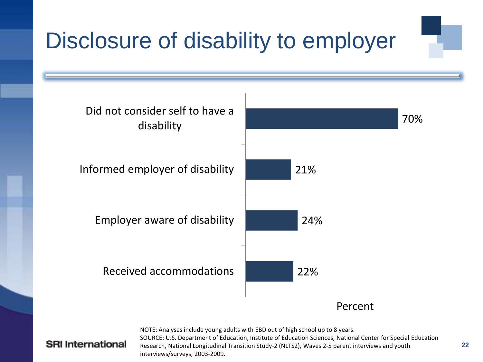# Disclosure of disability to employer

![](_page_21_Figure_1.jpeg)

**SRI** International

NOTE: Analyses include young adults with EBD out of high school up to 8 years. SOURCE: U.S. Department of Education, Institute of Education Sciences, National Center for Special Education Research, National Longitudinal Transition Study-2 (NLTS2), Waves 2-5 parent interviews and youth interviews/surveys, 2003-2009.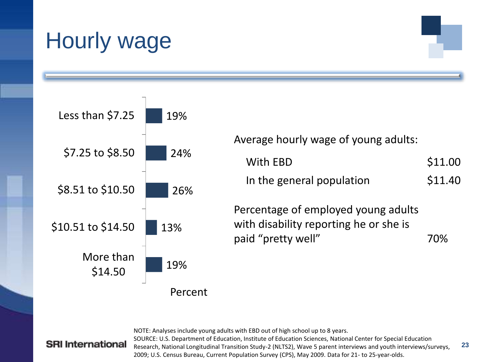# Hourly wage

![](_page_22_Figure_1.jpeg)

#### **SRI** International

NOTE: Analyses include young adults with EBD out of high school up to 8 years. SOURCE: U.S. Department of Education, Institute of Education Sciences, National Center for Special Education Research, National Longitudinal Transition Study-2 (NLTS2), Wave 5 parent interviews and youth interviews/surveys, 2009; U.S. Census Bureau, Current Population Survey (CPS), May 2009. Data for 21- to 25-year-olds.

Average hourly wage of young adults:

| With EBD                  | \$11.00 |
|---------------------------|---------|
| In the general population | \$11.40 |

**23**

Percentage of employed young adults with disability reporting he or she is paid "pretty well" 70%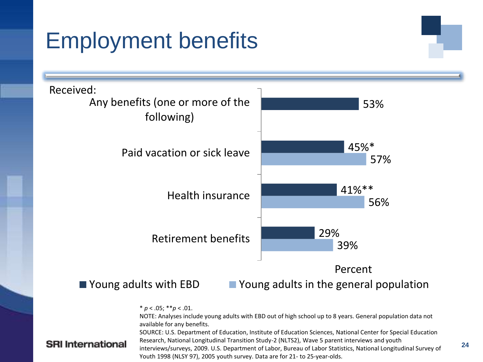# Employment benefits

![](_page_23_Figure_1.jpeg)

 $* p < .05; ** p < .01.$ 

NOTE: Analyses include young adults with EBD out of high school up to 8 years. General population data not available for any benefits.

SOURCE: U.S. Department of Education, Institute of Education Sciences, National Center for Special Education Research, National Longitudinal Transition Study-2 (NLTS2), Wave 5 parent interviews and youth interviews/surveys, 2009. U.S. Department of Labor, Bureau of Labor Statistics, National Longitudinal Survey of Youth 1998 (NLSY 97), 2005 youth survey. Data are for 21- to 25-year-olds.

#### **SRI** International

**24**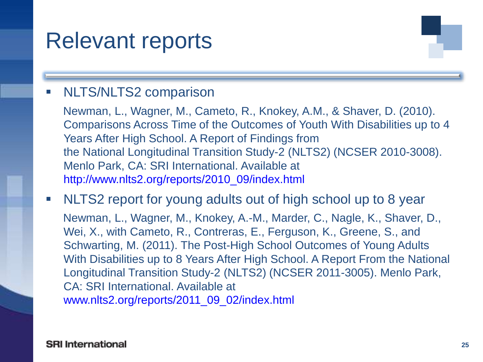### Relevant reports

#### **NLTS/NLTS2 comparison**

Newman, L., Wagner, M., Cameto, R., Knokey, A.M., & Shaver, D. (2010). Comparisons Across Time of the Outcomes of Youth With Disabilities up to 4 Years After High School. A Report of Findings from the National Longitudinal Transition Study-2 (NLTS2) (NCSER 2010-3008). Menlo Park, CA: SRI International. Available at http://www.nlts2.org/reports/2010\_09/index.htm[l](http://www.nlts2.org/reports/2010_09/nlts2_report_2010_09_complete.pdf)

NLTS2 report for young adults out of high school up to 8 year

Newman, L., Wagner, M., Knokey, A.-M., Marder, C., Nagle, K., Shaver, D., Wei, X., with Cameto, R., Contreras, E., Ferguson, K., Greene, S., and Schwarting, M. (2011). The Post-High School Outcomes of Young Adults With Disabilities up to 8 Years After High School. A Report From the National Longitudinal Transition Study-2 (NLTS2) (NCSER 2011-3005). Menlo Park, CA: SRI International. Available at www.nlts2.org/reports/2011\_09\_02/index.html